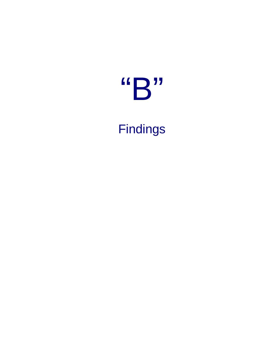# "B"

Findings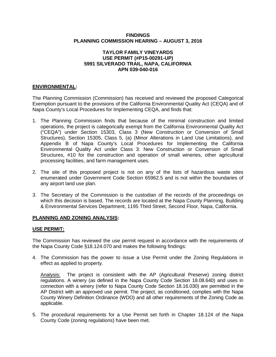#### **FINDINGS PLANNING COMMISSION HEARING – AUGUST 3, 2016**

## **TAYLOR FAMILY VINEYARDS USE PERMIT (#P15-00291-UP) 5991 SILVERADO TRAIL, NAPA, CALIFORNIA APN 039-040-016**

# **ENVIRONMENTAL:**

The Planning Commission (Commission) has received and reviewed the proposed Categorical Exemption pursuant to the provisions of the California Environmental Quality Act (CEQA) and of Napa County's Local Procedures for Implementing CEQA, and finds that:

- 1. The Planning Commission finds that because of the minimal construction and limited operations, the project is categorically exempt from the California Environmental Quality Act ("CEQA") under Section 15303, Class 3 (New Construction or Conversion of Small Structures), Section 15305, Class 5, (a) (Minor Alterations in Land Use Limitations), and Appendix B of Napa County's Local Procedures for Implementing the California Environmental Quality Act under Class 3: New Construction or Conversion of Small Structures, #10 for the construction and operation of small wineries, other agricultural processing facilities, and farm management uses.
- 2. The site of this proposed project is not on any of the lists of hazardous waste sites enumerated under Government Code Section 65962.5 and is not within the boundaries of any airport land use plan.
- 3. The Secretary of the Commission is the custodian of the records of the proceedings on which this decision is based. The records are located at the Napa County Planning, Building & Environmental Services Department, 1195 Third Street, Second Floor, Napa, California.

# **PLANNING AND ZONING ANALYSIS:**

# **USE PERMIT:**

The Commission has reviewed the use permit request in accordance with the requirements of the Napa County Code §18.124.070 and makes the following findings:

4. The Commission has the power to issue a Use Permit under the Zoning Regulations in effect as applied to property.

Analysis: The project is consistent with the AP (Agricultural Preserve) zoning district regulations. A winery (as defined in the Napa County Code Section 18.08.640) and uses in connection with a winery (refer to Napa County Code Section 18.16.030) are permitted in the AP District with an approved use permit. The project, as conditioned, complies with the Napa County Winery Definition Ordinance (WDO) and all other requirements of the Zoning Code as applicable.

5. The procedural requirements for a Use Permit set forth in Chapter 18.124 of the Napa County Code (zoning regulations) have been met.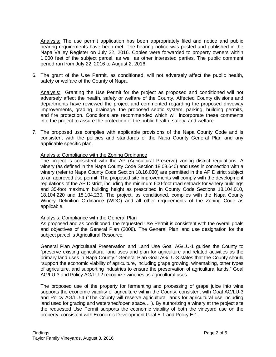Analysis: The use permit application has been appropriately filed and notice and public hearing requirements have been met. The hearing notice was posted and published in the Napa Valley Register on July 22, 2016. Copies were forwarded to property owners within 1,000 feet of the subject parcel, as well as other interested parties. The public comment period ran from July 22, 2016 to August 2, 2016.

6. The grant of the Use Permit, as conditioned, will not adversely affect the public health, safety or welfare of the County of Napa.

Analysis: Granting the Use Permit for the project as proposed and conditioned will not adversely affect the health, safety or welfare of the County. Affected County divisions and departments have reviewed the project and commented regarding the proposed driveway improvements, grading, drainage, the proposed septic system, parking, building permits, and fire protection. Conditions are recommended which will incorporate these comments into the project to assure the protection of the public health, safety, and welfare.

7. The proposed use complies with applicable provisions of the Napa County Code and is consistent with the policies and standards of the Napa County General Plan and any applicable specific plan.

#### Analysis: Compliance with the Zoning Ordinance

The project is consistent with the AP (Agricultural Preserve) zoning district regulations. A winery (as defined in the Napa County Code Section 18.08.640) and uses in connection with a winery (refer to Napa County Code Section 18.16.030) are permitted in the AP District subject to an approved use permit. The proposed site improvements will comply with the development regulations of the AP District, including the minimum 600-foot road setback for winery buildings and 35-foot maximum building height as prescribed in County Code Sections 18.104.010, 18.104.220 and 18.104.230. The project, as conditioned, complies with the Napa County Winery Definition Ordinance (WDO) and all other requirements of the Zoning Code as applicable.

#### Analysis: Compliance with the General Plan

As proposed and as conditioned, the requested Use Permit is consistent with the overall goals and objectives of the General Plan (2008). The General Plan land use designation for the subject parcel is Agricultural Resource.

General Plan Agricultural Preservation and Land Use Goal AG/LU-1 guides the County to "preserve existing agricultural land uses and plan for agriculture and related activities as the primary land uses in Napa County." General Plan Goal AG/LU-3 states that the County should "support the economic viability of agriculture, including grape growing, winemaking, other types of agriculture, and supporting industries to ensure the preservation of agricultural lands." Goal AG/LU-3 and Policy AG/LU-2 recognize wineries as agricultural uses.

The proposed use of the property for fermenting and processing of grape juice into wine supports the economic viability of agriculture within the County, consistent with Goal AG/LU-3 and Policy AG/LU-4 ("The County will reserve agricultural lands for agricultural use including land used for grazing and watershed/open space…"). By authorizing a winery at the project site the requested Use Permit supports the economic viability of both the vineyard use on the property, consistent with Economic Development Goal E-1 and Policy E-1.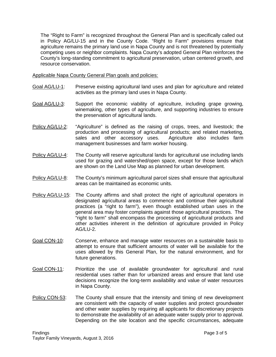The "Right to Farm" is recognized throughout the General Plan and is specifically called out in Policy AG/LU-15 and in the County Code. "Right to Farm" provisions ensure that agriculture remains the primary land use in Napa County and is not threatened by potentially competing uses or neighbor complaints. Napa County's adopted General Plan reinforces the County's long-standing commitment to agricultural preservation, urban centered growth, and resource conservation.

Applicable Napa County General Plan goals and policies:

- Goal AG/LU-1: Preserve existing agricultural land uses and plan for agriculture and related activities as the primary land uses in Napa County.
- Goal AG/LU-3: Support the economic viability of agriculture, including grape growing, winemaking, other types of agriculture, and supporting industries to ensure the preservation of agricultural lands.
- Policy AG/LU-2: "Agriculture" is defined as the raising of crops, trees, and livestock; the production and processing of agricultural products; and related marketing, sales and other accessory uses. Agriculture also includes farm management businesses and farm worker housing.
- Policy AG/LU-4: The County will reserve agricultural lands for agricultural use including lands used for grazing and watershed/open space, except for those lands which are shown on the Land Use Map as planned for urban development.
- Policy AG/LU-8: The County's minimum agricultural parcel sizes shall ensure that agricultural areas can be maintained as economic units.
- Policy AG/LU-15: The County affirms and shall protect the right of agricultural operators in designated agricultural areas to commence and continue their agricultural practices (a "right to farm"), even though established urban uses in the general area may foster complaints against those agricultural practices. The "right to farm" shall encompass the processing of agricultural products and other activities inherent in the definition of agriculture provided in Policy AG/LU-2.
- Goal CON-10: Conserve, enhance and manage water resources on a sustainable basis to attempt to ensure that sufficient amounts of water will be available for the uses allowed by this General Plan, for the natural environment, and for future generations.
- Goal CON-11: Prioritize the use of available groundwater for agricultural and rural residential uses rather than for urbanized areas and ensure that land use decisions recognize the long-term availability and value of water resources in Napa County.
- Policy CON-53: The County shall ensure that the intensity and timing of new development are consistent with the capacity of water supplies and protect groundwater and other water supplies by requiring all applicants for discretionary projects to demonstrate the availability of an adequate water supply prior to approval. Depending on the site location and the specific circumstances, adequate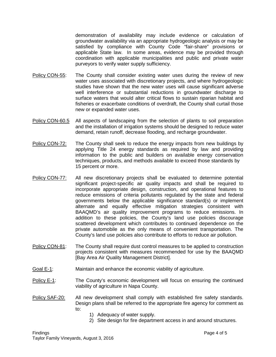demonstration of availability may include evidence or calculation of groundwater availability via an appropriate hydrogeologic analysis or may be satisfied by compliance with County Code "fair-share" provisions or applicable State law. In some areas, evidence may be provided through coordination with applicable municipalities and public and private water purveyors to verify water supply sufficiency.

- Policy CON-55: The County shall consider existing water uses during the review of new water uses associated with discretionary projects, and where hydrogeologic studies have shown that the new water uses will cause significant adverse well interference or substantial reductions in groundwater discharge to surface waters that would alter critical flows to sustain riparian habitat and fisheries or exacerbate conditions of overdraft, the County shall curtail those new or expanded water uses.
- Policy CON-60.5 All aspects of landscaping from the selection of plants to soil preparation and the installation of irrigation systems should be designed to reduce water demand, retain runoff, decrease flooding, and recharge groundwater.
- Policy CON-72: The County shall seek to reduce the energy impacts from new buildings by applying Title 24 energy standards as required by law and providing information to the public and builders on available energy conservation techniques, products, and methods available to exceed those standards by 15 percent or more.
- Policy CON-77: All new discretionary projects shall be evaluated to determine potential significant project-specific air quality impacts and shall be required to incorporate appropriate design, construction, and operational features to reduce emissions of criteria pollutants regulated by the state and federal governments below the applicable significance standard(s) or implement alternate and equally effective mitigation strategies consistent with BAAQMD's air quality improvement programs to reduce emissions. In addition to these policies, the County's land use policies discourage scattered development which contributes to continued dependence on the private automobile as the only means of convenient transportation. The County's land use policies also contribute to efforts to reduce air pollution.
- Policy CON-81: The County shall require dust control measures to be applied to construction projects consistent with measures recommended for use by the BAAQMD [Bay Area Air Quality Management District].
- Goal E-1: Maintain and enhance the economic viability of agriculture.
- Policy E-1: The County's economic development will focus on ensuring the continued viability of agriculture in Napa County.
- Policy SAF-20: All new development shall comply with established fire safety standards. Design plans shall be referred to the appropriate fire agency for comment as to:
	- 1) Adequacy of water supply.
	- 2) Site design for fire department access in and around structures.